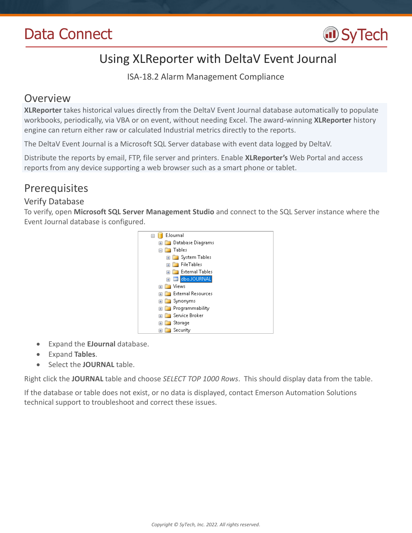

# Using XLReporter with DeltaV Event Journal

ISA-18.2 Alarm Management Compliance

## Overview

**XLReporter** takes historical values directly from the DeltaV Event Journal database automatically to populate workbooks, periodically, via VBA or on event, without needing Excel. The award-winning **XLReporter** history engine can return either raw or calculated Industrial metrics directly to the reports.

The DeltaV Event Journal is a Microsoft SQL Server database with event data logged by DeltaV.

Distribute the reports by email, FTP, file server and printers. Enable **XLReporter's** Web Portal and access reports from any device supporting a web browser such as a smart phone or tablet.

## **Prerequisites**

### Verify Database

To verify, open **Microsoft SQL Server Management Studio** and connect to the SQL Server instance where the Event Journal database is configured.



- Expand the **EJournal** database.
- Expand **Tables**.
- Select the **JOURNAL** table.

Right click the **JOURNAL** table and choose *SELECT TOP 1000 Rows*. This should display data from the table.

If the database or table does not exist, or no data is displayed, contact Emerson Automation Solutions technical support to troubleshoot and correct these issues.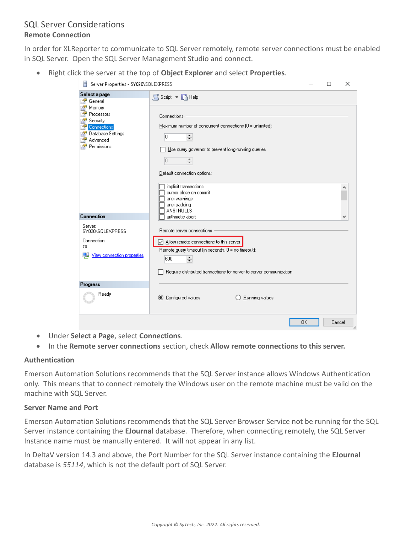### SQL Server Considerations **Remote Connection**

In order for XLReporter to communicate to SQL Server remotely, remote server connections must be enabled in SQL Server. Open the SQL Server Management Studio and connect.

Right click the server at the top of **Object Explorer** and select **Properties**.

| Server Properties - SY020\SQLEXPRESS<br>Ħ                                                       |                                                                                                                                                                                                                                                                                                      | П | ×      |
|-------------------------------------------------------------------------------------------------|------------------------------------------------------------------------------------------------------------------------------------------------------------------------------------------------------------------------------------------------------------------------------------------------------|---|--------|
| Select a page<br>General                                                                        | SScript + BHelp                                                                                                                                                                                                                                                                                      |   |        |
| Memory<br>Processors<br>Security<br>Connections<br>Database Settings<br>Advanced<br>Permissions | Connections<br>Maximum number of concurrent connections $[0]$ = unlimited):<br>lo.<br>÷<br>Use query governor to prevent long-running queries<br>$\frac{4}{7}$<br>0<br>Default connection options:<br>implicit transactions<br>cursor close on commit<br>ansi warnings<br>ansi padding<br>ANSI NULLS |   |        |
| <b>Connection</b>                                                                               | arithmetic abort                                                                                                                                                                                                                                                                                     |   |        |
| Server:<br>SY020\SQLEXPRESS<br>Connection:<br>sa<br>View connection properties                  | Remote server connections<br>○ Allow remote connections to this server<br>Remote query timeout (in seconds, 0 = no timeout):<br>÷<br>600<br>Require distributed transactions for server-to-server communication                                                                                      |   |        |
| <b>Progress</b>                                                                                 |                                                                                                                                                                                                                                                                                                      |   |        |
| Ready                                                                                           | <b>● Configured values</b><br>Running values                                                                                                                                                                                                                                                         |   |        |
|                                                                                                 | 0K                                                                                                                                                                                                                                                                                                   |   | Cancel |

- Under **Select a Page**, select **Connections**.
- In the **Remote server connections** section, check **Allow remote connections to this server.**

#### **Authentication**

Emerson Automation Solutions recommends that the SQL Server instance allows Windows Authentication only. This means that to connect remotely the Windows user on the remote machine must be valid on the machine with SQL Server.

#### **Server Name and Port**

Emerson Automation Solutions recommends that the SQL Server Browser Service not be running for the SQL Server instance containing the **EJournal** database. Therefore, when connecting remotely, the SQL Server Instance name must be manually entered. It will not appear in any list.

In DeltaV version 14.3 and above, the Port Number for the SQL Server instance containing the **EJournal** database is *55114*, which is not the default port of SQL Server.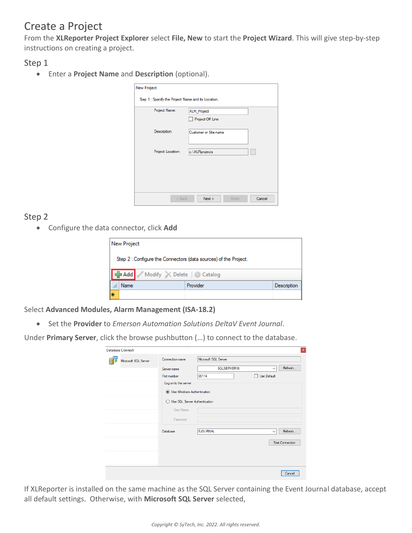## Create a Project

From the **XLReporter Project Explorer** select **File, New** to start the **Project Wizard**. This will give step-by-step instructions on creating a project.

Step 1

Enter a **Project Name** and **Description** (optional).

| <b>New Project</b>                                  |                          |
|-----------------------------------------------------|--------------------------|
| Step 1 : Specify the Project Name and its Location. |                          |
| Project Name:                                       | XLR_Project              |
|                                                     | Project Off Line         |
| Description:                                        | Customer or Site name    |
|                                                     |                          |
| Project Location:                                   | c:\XLRprojects           |
|                                                     |                          |
|                                                     |                          |
|                                                     |                          |
|                                                     |                          |
| < Back                                              | Cancel<br>Next<br>Finish |

### Step 2

Configure the data connector, click **Add**

|   | <b>New Project</b>                                               |          |             |
|---|------------------------------------------------------------------|----------|-------------|
|   | Step 2 : Configure the Connectors (data sources) of the Project. |          |             |
|   | Add Modify X Delete & Catalog                                    |          |             |
|   | Name                                                             | Provider | Description |
| ⊯ |                                                                  |          |             |

Select **Advanced Modules, Alarm Management (ISA-18.2)**

Set the **Provider** to *Emerson Automation Solutions DeltaV Event Journal*.

Under **Primary Server**, click the browse pushbutton (…) to connect to the database.

| <b>Database Connect</b> |                                      |                      |              | $\mathbf{x}$           |
|-------------------------|--------------------------------------|----------------------|--------------|------------------------|
| Microsoft SQL Server    | Connection name                      | Microsoft SQL Server |              |                        |
|                         | Server name                          | SQLSERVER16          | $\checkmark$ | Refresh                |
|                         | Port number                          | 55114                | Use Default  |                        |
|                         | Log on to the server                 |                      |              |                        |
|                         | <b>ID</b> Use Windows Authentication |                      |              |                        |
|                         | Use SQL Server Authentication<br>∩   |                      |              |                        |
|                         | User Name                            |                      |              |                        |
|                         | Password                             |                      |              |                        |
|                         | Database                             | <b>EJOURNAL</b>      | $\checkmark$ | Refresh                |
|                         |                                      |                      |              | <b>Test Connection</b> |
|                         |                                      |                      |              |                        |
|                         |                                      |                      |              |                        |
|                         |                                      |                      |              |                        |
|                         |                                      |                      |              | Cancel                 |

If XLReporter is installed on the same machine as the SQL Server containing the Event Journal database, accept all default settings. Otherwise, with **Microsoft SQL Server** selected,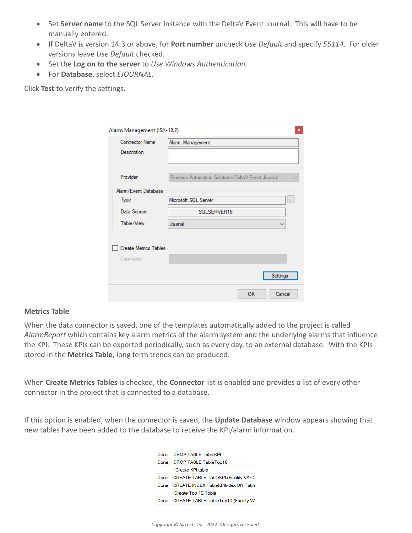- Set **Server name** to the SQL Server instance with the DeltaV Event Journal. This will have to be manually entered.
- If DeltaV is version 14.3 or above, for **Port number** uncheck *Use Default* and specify *55114*. For older versions leave *Use Default* checked.
- Set the **Log on to the server** to *Use Windows Authentication*.
- For **Database**, select *EJOURNAL*.

Click **Test** to verify the settings.

| Alarm Management (ISA-18.2)  | $\mathbf x$                                       |
|------------------------------|---------------------------------------------------|
| Connector Name               | Alarm_Management                                  |
| Description                  |                                                   |
|                              |                                                   |
| Provider                     | Emerson Automation Solutions DeltaV Event Journal |
| Alam/Event Database          |                                                   |
| Type                         | Microsoft SQL Server<br>÷                         |
| Data Source                  | SQLSERVER16                                       |
| Table/View                   | Journal<br>$\checkmark$                           |
|                              |                                                   |
| <b>Create Metrics Tables</b> |                                                   |
| Connector                    |                                                   |
|                              |                                                   |
|                              | Settings                                          |
|                              | OK<br>Cancel                                      |

#### **Metrics Table**

When the data connector is saved, one of the templates automatically added to the project is called *AlarmReport* which contains key alarm metrics of the alarm system and the underlying alarms that influence the KPI. These KPIs can be exported periodically, such as every day, to an external database. With the KPIs stored in the **Metrics Table**, long term trends can be produced.

When **Create Metrics Tables** is checked, the **Connector** list is enabled and provides a list of every other connector in the project that is connected to a database.

If this option is enabled, when the connector is saved, the **Update Database** window appears showing that new tables have been added to the database to receive the KPI/alarm information.

| Done | <b>DROP TABLE TableKPI</b>                  |  |
|------|---------------------------------------------|--|
| Done | DROP TABLE TableTop10                       |  |
|      | <sup>'</sup> Create KPI table               |  |
| Done | <b>CREATE TABLE TableKPI (Facility VARC</b> |  |
| Done | <b>CREATE INDEX TableKPlindex ON Table</b>  |  |
|      | 'Create Top 10 Table                        |  |
| Done | <b>CREATE TABLE TableTop10 (Facility VA</b> |  |